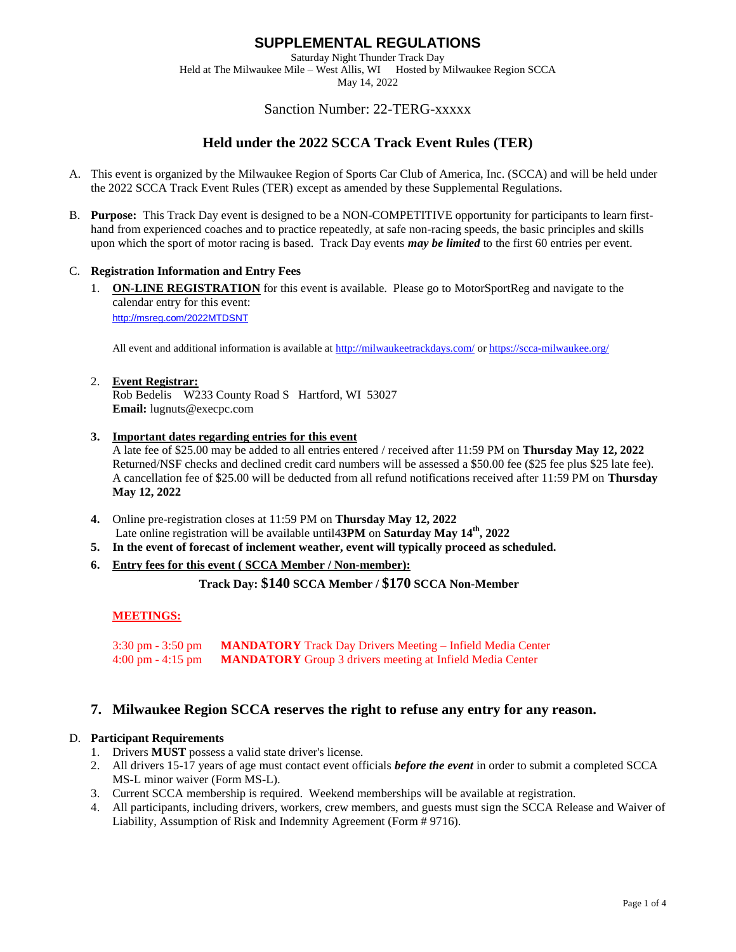Saturday Night Thunder Track Day Held at The Milwaukee Mile – West Allis, WI Hosted by Milwaukee Region SCCA

May 14, 2022

### Sanction Number: 22-TERG-xxxxx

# **Held under the 2022 SCCA Track Event Rules (TER)**

- A. This event is organized by the Milwaukee Region of Sports Car Club of America, Inc. (SCCA) and will be held under the 2022 SCCA Track Event Rules (TER) except as amended by these Supplemental Regulations.
- B. **Purpose:** This Track Day event is designed to be a NON-COMPETITIVE opportunity for participants to learn firsthand from experienced coaches and to practice repeatedly, at safe non-racing speeds, the basic principles and skills upon which the sport of motor racing is based. Track Day events *may be limited* to the first 60 entries per event.

#### C. **Registration Information and Entry Fees**

1. **ON-LINE REGISTRATION** for this event is available. Please go to MotorSportReg and navigate to the calendar entry for this event: <http://msreg.com/2022MTDSNT>

All event and additional information is available at <http://milwaukeetrackdays.com/> or<https://scca-milwaukee.org/>

#### 2. **Event Registrar:**

Rob Bedelis W233 County Road S Hartford, WI 53027 **Email:** lugnuts@execpc.com

**3. Important dates regarding entries for this event**

A late fee of \$25.00 may be added to all entries entered / received after 11:59 PM on **Thursday May 12, 2022** Returned/NSF checks and declined credit card numbers will be assessed a \$50.00 fee (\$25 fee plus \$25 late fee). A cancellation fee of \$25.00 will be deducted from all refund notifications received after 11:59 PM on **Thursday May 12, 2022**

- **4.** Online pre-registration closes at 11:59 PM on **Thursday May 12, 2022** Late online registration will be available until 43PM on Saturday May 14<sup>th</sup>, 2022
- **5. In the event of forecast of inclement weather, event will typically proceed as scheduled.**
- **6. Entry fees for this event ( SCCA Member / Non-member):**

**Track Day: \$140 SCCA Member / \$170 SCCA Non-Member**

### **MEETINGS:**

3:30 pm - 3:50 pm **MANDATORY** Track Day Drivers Meeting – Infield Media Center 4:00 pm - 4:15 pm **MANDATORY** Group 3 drivers meeting at Infield Media Center

### **7. Milwaukee Region SCCA reserves the right to refuse any entry for any reason.**

#### D. **Participant Requirements**

- 1. Drivers **MUST** possess a valid state driver's license.
- 2. All drivers 15-17 years of age must contact event officials *before the event* in order to submit a completed SCCA MS-L minor waiver (Form MS-L).
- 3. Current SCCA membership is required. Weekend memberships will be available at registration.
- 4. All participants, including drivers, workers, crew members, and guests must sign the SCCA Release and Waiver of Liability, Assumption of Risk and Indemnity Agreement (Form # 9716).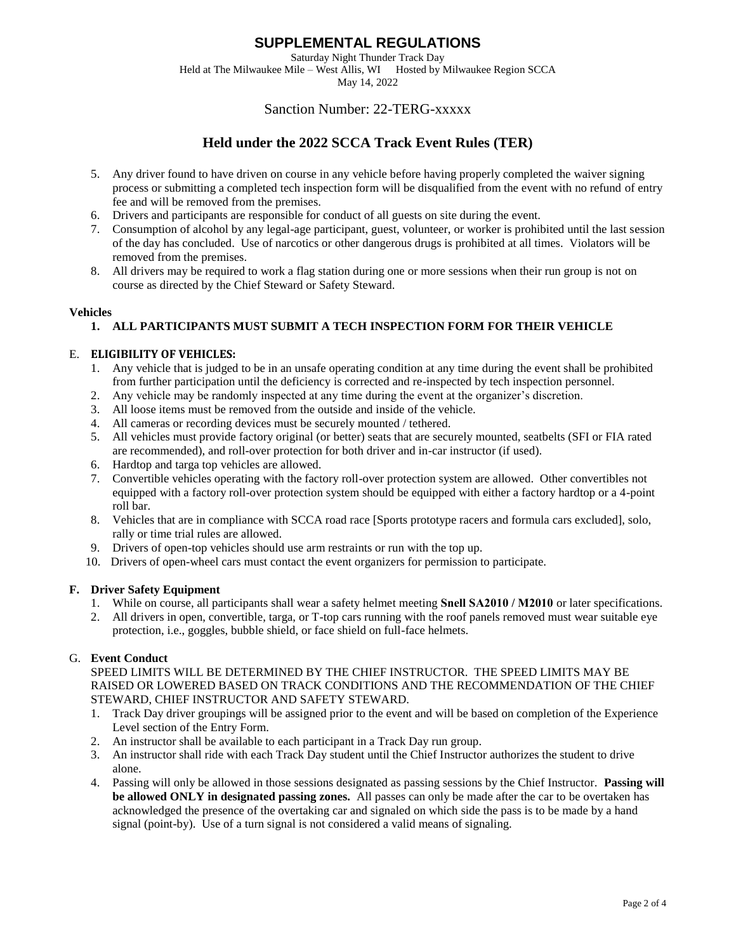Saturday Night Thunder Track Day

Held at The Milwaukee Mile – West Allis, WI Hosted by Milwaukee Region SCCA May 14, 2022

### Sanction Number: 22-TERG-xxxxx

# **Held under the 2022 SCCA Track Event Rules (TER)**

- 5. Any driver found to have driven on course in any vehicle before having properly completed the waiver signing process or submitting a completed tech inspection form will be disqualified from the event with no refund of entry fee and will be removed from the premises.
- 6. Drivers and participants are responsible for conduct of all guests on site during the event.
- 7. Consumption of alcohol by any legal-age participant, guest, volunteer, or worker is prohibited until the last session of the day has concluded. Use of narcotics or other dangerous drugs is prohibited at all times. Violators will be removed from the premises.
- 8. All drivers may be required to work a flag station during one or more sessions when their run group is not on course as directed by the Chief Steward or Safety Steward.

#### **Vehicles**

#### **1. ALL PARTICIPANTS MUST SUBMIT A TECH INSPECTION FORM FOR THEIR VEHICLE**

#### E. **ELIGIBILITY OF VEHICLES:**

- 1. Any vehicle that is judged to be in an unsafe operating condition at any time during the event shall be prohibited from further participation until the deficiency is corrected and re-inspected by tech inspection personnel.
- 2. Any vehicle may be randomly inspected at any time during the event at the organizer's discretion.
- 3. All loose items must be removed from the outside and inside of the vehicle.
- 4. All cameras or recording devices must be securely mounted / tethered.
- 5. All vehicles must provide factory original (or better) seats that are securely mounted, seatbelts (SFI or FIA rated are recommended), and roll-over protection for both driver and in-car instructor (if used).
- 6. Hardtop and targa top vehicles are allowed.
- 7. Convertible vehicles operating with the factory roll-over protection system are allowed. Other convertibles not equipped with a factory roll-over protection system should be equipped with either a factory hardtop or a 4-point roll bar.
- 8. Vehicles that are in compliance with SCCA road race [Sports prototype racers and formula cars excluded], solo, rally or time trial rules are allowed.
- 9. Drivers of open-top vehicles should use arm restraints or run with the top up.
- 10. Drivers of open-wheel cars must contact the event organizers for permission to participate.

#### **F. Driver Safety Equipment**

- 1. While on course, all participants shall wear a safety helmet meeting **Snell SA2010 / M2010** or later specifications.
- 2. All drivers in open, convertible, targa, or T-top cars running with the roof panels removed must wear suitable eye protection, i.e., goggles, bubble shield, or face shield on full-face helmets.

#### G. **Event Conduct**

SPEED LIMITS WILL BE DETERMINED BY THE CHIEF INSTRUCTOR. THE SPEED LIMITS MAY BE RAISED OR LOWERED BASED ON TRACK CONDITIONS AND THE RECOMMENDATION OF THE CHIEF STEWARD, CHIEF INSTRUCTOR AND SAFETY STEWARD.

- 1. Track Day driver groupings will be assigned prior to the event and will be based on completion of the Experience Level section of the Entry Form.
- 2. An instructor shall be available to each participant in a Track Day run group.
- 3. An instructor shall ride with each Track Day student until the Chief Instructor authorizes the student to drive alone.
- 4. Passing will only be allowed in those sessions designated as passing sessions by the Chief Instructor. **Passing will be allowed ONLY in designated passing zones.** All passes can only be made after the car to be overtaken has acknowledged the presence of the overtaking car and signaled on which side the pass is to be made by a hand signal (point-by). Use of a turn signal is not considered a valid means of signaling.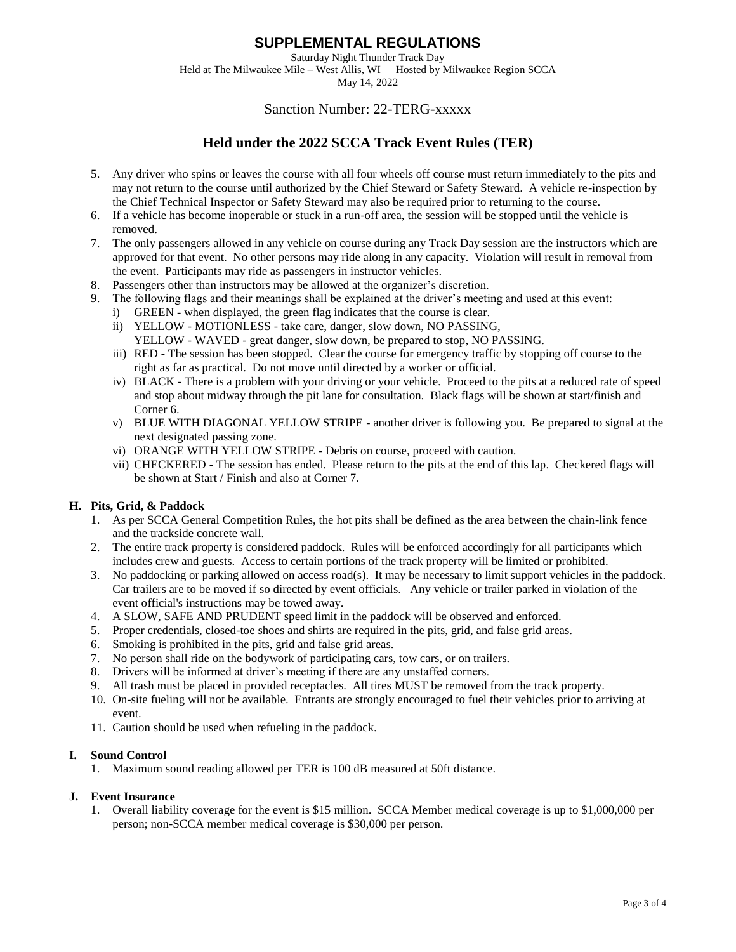Saturday Night Thunder Track Day Held at The Milwaukee Mile – West Allis, WI Hosted by Milwaukee Region SCCA

May 14, 2022

### Sanction Number: 22-TERG-xxxxx

# **Held under the 2022 SCCA Track Event Rules (TER)**

- 5. Any driver who spins or leaves the course with all four wheels off course must return immediately to the pits and may not return to the course until authorized by the Chief Steward or Safety Steward. A vehicle re-inspection by the Chief Technical Inspector or Safety Steward may also be required prior to returning to the course.
- 6. If a vehicle has become inoperable or stuck in a run-off area, the session will be stopped until the vehicle is removed.
- 7. The only passengers allowed in any vehicle on course during any Track Day session are the instructors which are approved for that event. No other persons may ride along in any capacity. Violation will result in removal from the event. Participants may ride as passengers in instructor vehicles.
- 8. Passengers other than instructors may be allowed at the organizer's discretion.
- 9. The following flags and their meanings shall be explained at the driver's meeting and used at this event: i) GREEN - when displayed, the green flag indicates that the course is clear.
	- ii) YELLOW MOTIONLESS take care, danger, slow down, NO PASSING,
	- YELLOW WAVED great danger, slow down, be prepared to stop, NO PASSING.
	- iii) RED The session has been stopped. Clear the course for emergency traffic by stopping off course to the right as far as practical. Do not move until directed by a worker or official.
	- iv) BLACK There is a problem with your driving or your vehicle. Proceed to the pits at a reduced rate of speed and stop about midway through the pit lane for consultation. Black flags will be shown at start/finish and Corner 6.
	- v) BLUE WITH DIAGONAL YELLOW STRIPE another driver is following you. Be prepared to signal at the next designated passing zone.
	- vi) ORANGE WITH YELLOW STRIPE Debris on course, proceed with caution.
	- vii) CHECKERED The session has ended. Please return to the pits at the end of this lap. Checkered flags will be shown at Start / Finish and also at Corner 7.

#### **H. Pits, Grid, & Paddock**

- 1. As per SCCA General Competition Rules, the hot pits shall be defined as the area between the chain-link fence and the trackside concrete wall.
- 2. The entire track property is considered paddock. Rules will be enforced accordingly for all participants which includes crew and guests. Access to certain portions of the track property will be limited or prohibited.
- 3. No paddocking or parking allowed on access road(s). It may be necessary to limit support vehicles in the paddock. Car trailers are to be moved if so directed by event officials. Any vehicle or trailer parked in violation of the event official's instructions may be towed away.
- 4. A SLOW, SAFE AND PRUDENT speed limit in the paddock will be observed and enforced.
- 5. Proper credentials, closed-toe shoes and shirts are required in the pits, grid, and false grid areas.
- 6. Smoking is prohibited in the pits, grid and false grid areas.
- 7. No person shall ride on the bodywork of participating cars, tow cars, or on trailers.
- 8. Drivers will be informed at driver's meeting if there are any unstaffed corners.
- 9. All trash must be placed in provided receptacles. All tires MUST be removed from the track property.
- 10. On-site fueling will not be available. Entrants are strongly encouraged to fuel their vehicles prior to arriving at event.
- 11. Caution should be used when refueling in the paddock.

#### **I. Sound Control**

1. Maximum sound reading allowed per TER is 100 dB measured at 50ft distance.

#### **J. Event Insurance**

1. Overall liability coverage for the event is \$15 million. SCCA Member medical coverage is up to \$1,000,000 per person; non-SCCA member medical coverage is \$30,000 per person.